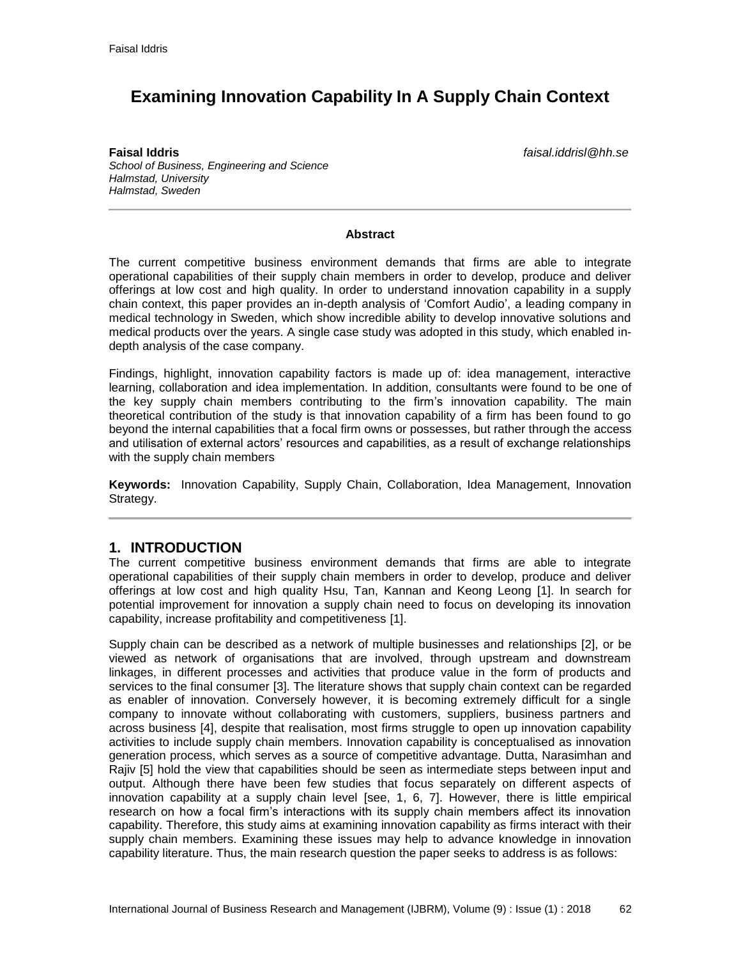# **Examining Innovation Capability In A Supply Chain Context**

**Faisal Iddris** *faisal.iddrisl@hh.se School of Business, Engineering and Science Halmstad, University Halmstad, Sweden*

#### **Abstract**

The current competitive business environment demands that firms are able to integrate operational capabilities of their supply chain members in order to develop, produce and deliver offerings at low cost and high quality. In order to understand innovation capability in a supply chain context, this paper provides an in-depth analysis of 'Comfort Audio', a leading company in medical technology in Sweden, which show incredible ability to develop innovative solutions and medical products over the years. A single case study was adopted in this study, which enabled indepth analysis of the case company.

Findings, highlight, innovation capability factors is made up of: idea management, interactive learning, collaboration and idea implementation. In addition, consultants were found to be one of the key supply chain members contributing to the firm's innovation capability. The main theoretical contribution of the study is that innovation capability of a firm has been found to go beyond the internal capabilities that a focal firm owns or possesses, but rather through the access and utilisation of external actors' resources and capabilities, as a result of exchange relationships with the supply chain members

**Keywords:** Innovation Capability, Supply Chain, Collaboration, Idea Management, Innovation Strategy.

## **1. INTRODUCTION**

The current competitive business environment demands that firms are able to integrate operational capabilities of their supply chain members in order to develop, produce and deliver offerings at low cost and high quality Hsu, Tan, Kannan and Keong Leong [1]. In search for potential improvement for innovation a supply chain need to focus on developing its innovation capability, increase profitability and competitiveness [1].

Supply chain can be described as a network of multiple businesses and relationships [2], or be viewed as network of organisations that are involved, through upstream and downstream linkages, in different processes and activities that produce value in the form of products and services to the final consumer [3]. The literature shows that supply chain context can be regarded as enabler of innovation. Conversely however, it is becoming extremely difficult for a single company to innovate without collaborating with customers, suppliers, business partners and across business [4], despite that realisation, most firms struggle to open up innovation capability activities to include supply chain members. Innovation capability is conceptualised as innovation generation process, which serves as a source of competitive advantage. Dutta, Narasimhan and Rajiv [5] hold the view that capabilities should be seen as intermediate steps between input and output. Although there have been few studies that focus separately on different aspects of innovation capability at a supply chain level [see, 1, 6, 7]. However, there is little empirical research on how a focal firm's interactions with its supply chain members affect its innovation capability. Therefore, this study aims at examining innovation capability as firms interact with their supply chain members. Examining these issues may help to advance knowledge in innovation capability literature. Thus, the main research question the paper seeks to address is as follows: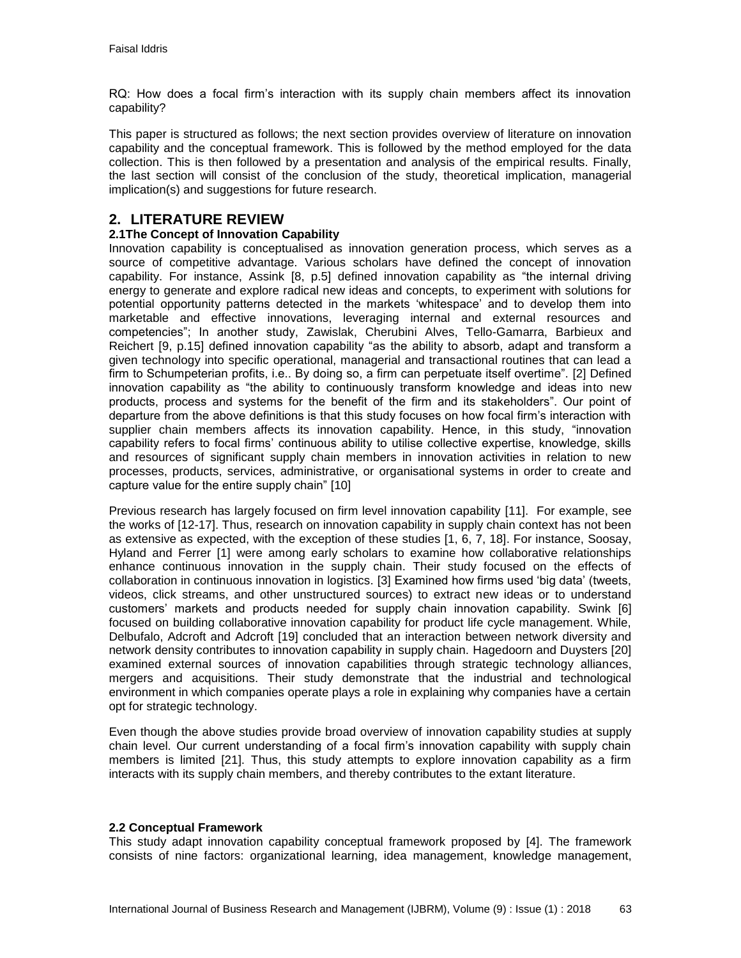RQ: How does a focal firm's interaction with its supply chain members affect its innovation capability?

This paper is structured as follows; the next section provides overview of literature on innovation capability and the conceptual framework. This is followed by the method employed for the data collection. This is then followed by a presentation and analysis of the empirical results. Finally, the last section will consist of the conclusion of the study, theoretical implication, managerial implication(s) and suggestions for future research.

# **2. LITERATURE REVIEW**

### **2.1The Concept of Innovation Capability**

Innovation capability is conceptualised as innovation generation process, which serves as a source of competitive advantage. Various scholars have defined the concept of innovation capability. For instance, Assink [8, p.5] defined innovation capability as "the internal driving energy to generate and explore radical new ideas and concepts, to experiment with solutions for potential opportunity patterns detected in the markets 'whitespace' and to develop them into marketable and effective innovations, leveraging internal and external resources and competencies"; In another study, Zawislak, Cherubini Alves, Tello-Gamarra, Barbieux and Reichert [9, p.15] defined innovation capability "as the ability to absorb, adapt and transform a given technology into specific operational, managerial and transactional routines that can lead a firm to Schumpeterian profits, i.e.. By doing so, a firm can perpetuate itself overtime". [2] Defined innovation capability as "the ability to continuously transform knowledge and ideas into new products, process and systems for the benefit of the firm and its stakeholders". Our point of departure from the above definitions is that this study focuses on how focal firm's interaction with supplier chain members affects its innovation capability. Hence, in this study, "innovation capability refers to focal firms' continuous ability to utilise collective expertise, knowledge, skills and resources of significant supply chain members in innovation activities in relation to new processes, products, services, administrative, or organisational systems in order to create and capture value for the entire supply chain" [10]

Previous research has largely focused on firm level innovation capability [11]. For example, see the works of [12-17]. Thus, research on innovation capability in supply chain context has not been as extensive as expected, with the exception of these studies [1, 6, 7, 18]. For instance, Soosay, Hyland and Ferrer [1] were among early scholars to examine how collaborative relationships enhance continuous innovation in the supply chain. Their study focused on the effects of collaboration in continuous innovation in logistics. [3] Examined how firms used 'big data' (tweets, videos, click streams, and other unstructured sources) to extract new ideas or to understand customers' markets and products needed for supply chain innovation capability. Swink [6] focused on building collaborative innovation capability for product life cycle management. While, Delbufalo, Adcroft and Adcroft [19] concluded that an interaction between network diversity and network density contributes to innovation capability in supply chain. Hagedoorn and Duysters [20] examined external sources of innovation capabilities through strategic technology alliances, mergers and acquisitions. Their study demonstrate that the industrial and technological environment in which companies operate plays a role in explaining why companies have a certain opt for strategic technology.

Even though the above studies provide broad overview of innovation capability studies at supply chain level. Our current understanding of a focal firm's innovation capability with supply chain members is limited [21]. Thus, this study attempts to explore innovation capability as a firm interacts with its supply chain members, and thereby contributes to the extant literature.

### **2.2 Conceptual Framework**

This study adapt innovation capability conceptual framework proposed by [4]. The framework consists of nine factors: organizational learning, idea management, knowledge management,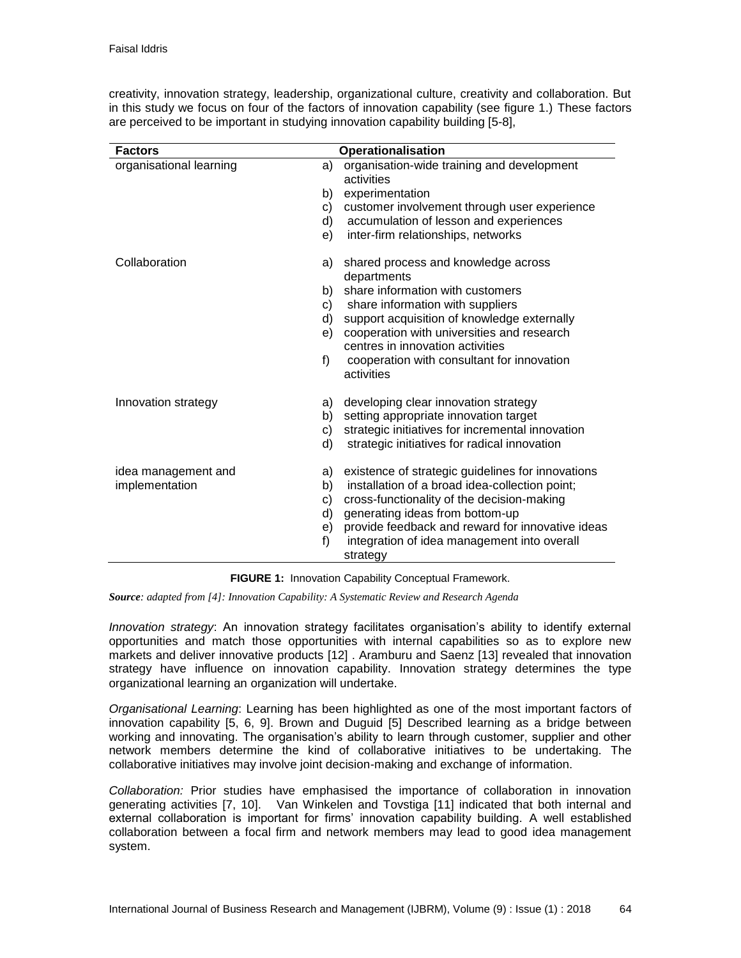|  |  | creativity, innovation strategy, leadership, organizational culture, creativity and collaboration. But |  |  |  |
|--|--|--------------------------------------------------------------------------------------------------------|--|--|--|
|  |  | in this study we focus on four of the factors of innovation capability (see figure 1.) These factors   |  |  |  |
|  |  | are perceived to be important in studying innovation capability building [5-8],                        |  |  |  |

| <b>Factors</b>          |    | <b>Operationalisation</b>                                |
|-------------------------|----|----------------------------------------------------------|
| organisational learning | a) | organisation-wide training and development               |
|                         |    | activities                                               |
|                         | b) | experimentation                                          |
|                         | C) | customer involvement through user experience             |
|                         | d) | accumulation of lesson and experiences                   |
|                         | e) | inter-firm relationships, networks                       |
| Collaboration           | a) | shared process and knowledge across                      |
|                         |    | departments                                              |
|                         | b) | share information with customers                         |
|                         | C) | share information with suppliers                         |
|                         | d) | support acquisition of knowledge externally              |
|                         | e) | cooperation with universities and research               |
|                         |    | centres in innovation activities                         |
|                         | f  | cooperation with consultant for innovation<br>activities |
| Innovation strategy     | a) | developing clear innovation strategy                     |
|                         | b) | setting appropriate innovation target                    |
|                         | C) | strategic initiatives for incremental innovation         |
|                         | d) | strategic initiatives for radical innovation             |
| idea management and     | a) | existence of strategic guidelines for innovations        |
| implementation          | b) | installation of a broad idea-collection point;           |
|                         | C) | cross-functionality of the decision-making               |
|                         | d) | generating ideas from bottom-up                          |
|                         | e) | provide feedback and reward for innovative ideas         |
|                         | f) | integration of idea management into overall              |
|                         |    | strategy                                                 |

|  |  | FIGURE 1: Innovation Capability Conceptual Framework. |  |
|--|--|-------------------------------------------------------|--|
|--|--|-------------------------------------------------------|--|

*Source: adapted from [4]: Innovation Capability: A Systematic Review and Research Agenda*

*Innovation strategy*: An innovation strategy facilitates organisation's ability to identify external opportunities and match those opportunities with internal capabilities so as to explore new markets and deliver innovative products [12] . Aramburu and Saenz [13] revealed that innovation strategy have influence on innovation capability. Innovation strategy determines the type organizational learning an organization will undertake.

*Organisational Learning*: Learning has been highlighted as one of the most important factors of innovation capability [5, 6, 9]. Brown and Duguid [5] Described learning as a bridge between working and innovating. The organisation's ability to learn through customer, supplier and other network members determine the kind of collaborative initiatives to be undertaking. The collaborative initiatives may involve joint decision-making and exchange of information.

*Collaboration:* Prior studies have emphasised the importance of collaboration in innovation generating activities [7, 10]. Van Winkelen and Tovstiga [11] indicated that both internal and external collaboration is important for firms' innovation capability building. A well established collaboration between a focal firm and network members may lead to good idea management system.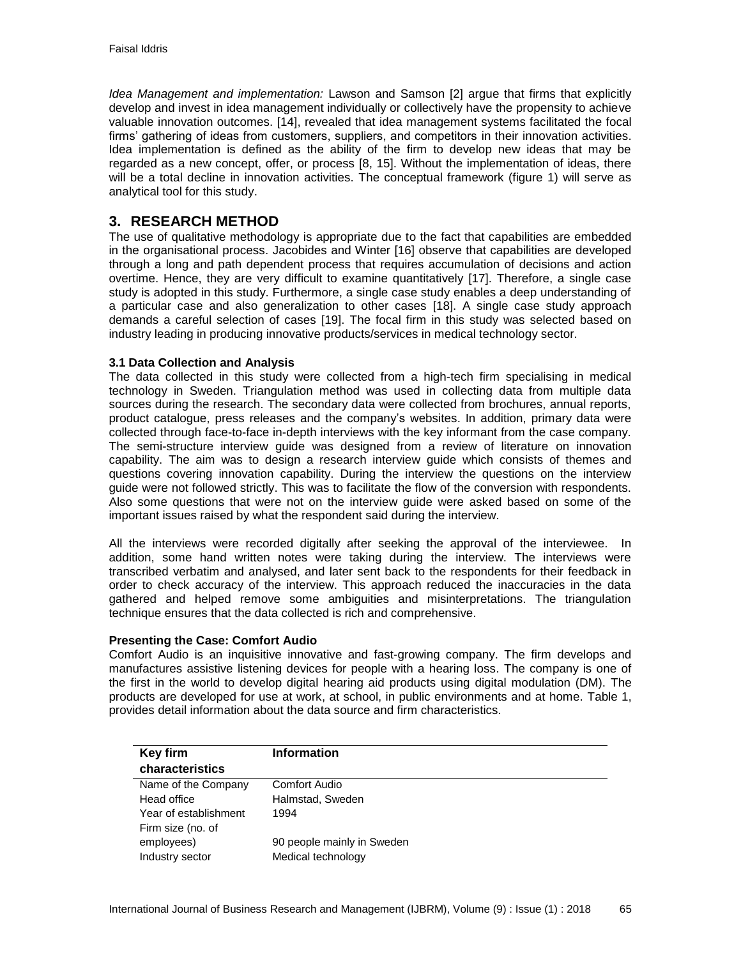*Idea Management and implementation:* Lawson and Samson [2] argue that firms that explicitly develop and invest in idea management individually or collectively have the propensity to achieve valuable innovation outcomes. [14], revealed that idea management systems facilitated the focal firms' gathering of ideas from customers, suppliers, and competitors in their innovation activities. Idea implementation is defined as the ability of the firm to develop new ideas that may be regarded as a new concept, offer, or process [8, 15]. Without the implementation of ideas, there will be a total decline in innovation activities. The conceptual framework (figure 1) will serve as analytical tool for this study.

# **3. RESEARCH METHOD**

The use of qualitative methodology is appropriate due to the fact that capabilities are embedded in the organisational process. Jacobides and Winter [16] observe that capabilities are developed through a long and path dependent process that requires accumulation of decisions and action overtime. Hence, they are very difficult to examine quantitatively [17]. Therefore, a single case study is adopted in this study. Furthermore, a single case study enables a deep understanding of a particular case and also generalization to other cases [18]. A single case study approach demands a careful selection of cases [19]. The focal firm in this study was selected based on industry leading in producing innovative products/services in medical technology sector.

### **3.1 Data Collection and Analysis**

The data collected in this study were collected from a high-tech firm specialising in medical technology in Sweden. Triangulation method was used in collecting data from multiple data sources during the research. The secondary data were collected from brochures, annual reports, product catalogue, press releases and the company's websites. In addition, primary data were collected through face-to-face in-depth interviews with the key informant from the case company. The semi-structure interview guide was designed from a review of literature on innovation capability. The aim was to design a research interview guide which consists of themes and questions covering innovation capability. During the interview the questions on the interview guide were not followed strictly. This was to facilitate the flow of the conversion with respondents. Also some questions that were not on the interview guide were asked based on some of the important issues raised by what the respondent said during the interview.

All the interviews were recorded digitally after seeking the approval of the interviewee. In addition, some hand written notes were taking during the interview. The interviews were transcribed verbatim and analysed, and later sent back to the respondents for their feedback in order to check accuracy of the interview. This approach reduced the inaccuracies in the data gathered and helped remove some ambiguities and misinterpretations. The triangulation technique ensures that the data collected is rich and comprehensive.

### **Presenting the Case: Comfort Audio**

Comfort Audio is an inquisitive innovative and fast-growing company. The firm develops and manufactures assistive listening devices for people with a hearing loss. The company is one of the first in the world to develop digital hearing aid products using digital modulation (DM). The products are developed for use at work, at school, in public environments and at home. Table 1, provides detail information about the data source and firm characteristics.

| <b>Key firm</b><br>characteristics         | <b>Information</b>         |
|--------------------------------------------|----------------------------|
| Name of the Company                        | Comfort Audio              |
| Head office                                | Halmstad, Sweden           |
| Year of establishment<br>Firm size (no. of | 1994                       |
| employees)                                 | 90 people mainly in Sweden |
| Industry sector                            | Medical technology         |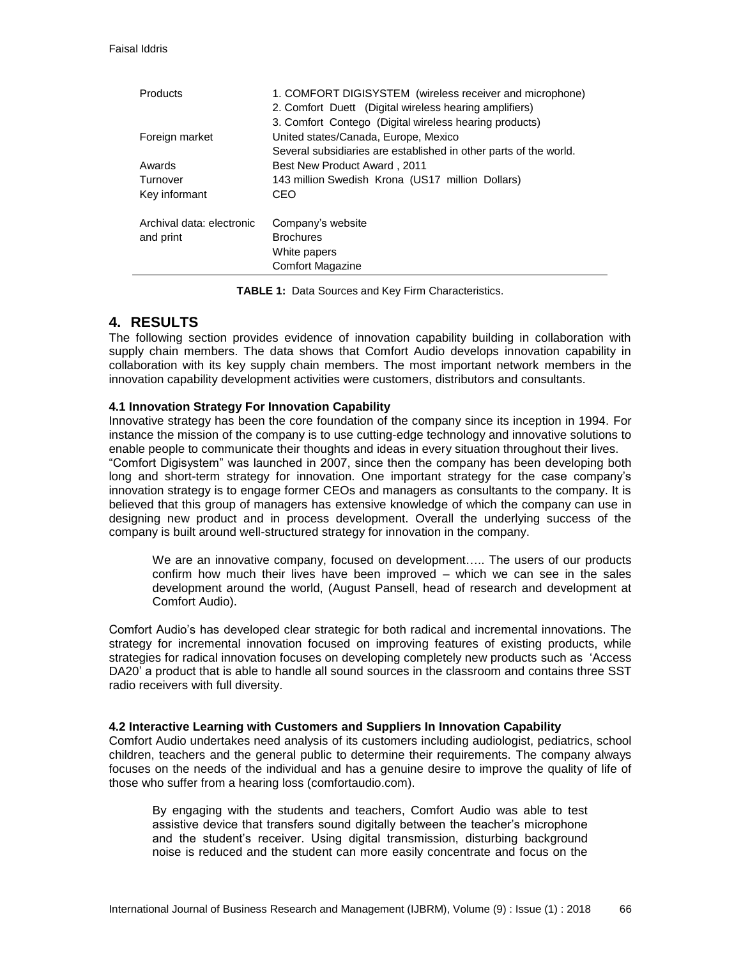| <b>Products</b>                        | 1. COMFORT DIGISYSTEM (wireless receiver and microphone)<br>2. Comfort Duett (Digital wireless hearing amplifiers)<br>3. Comfort Contego (Digital wireless hearing products) |
|----------------------------------------|------------------------------------------------------------------------------------------------------------------------------------------------------------------------------|
| Foreign market                         | United states/Canada, Europe, Mexico                                                                                                                                         |
|                                        | Several subsidiaries are established in other parts of the world.                                                                                                            |
| Awards                                 | <b>Best New Product Award, 2011</b>                                                                                                                                          |
| Turnover                               | 143 million Swedish Krona (US17 million Dollars)                                                                                                                             |
| Key informant                          | CEO                                                                                                                                                                          |
| Archival data: electronic<br>and print | Company's website<br><b>Brochures</b>                                                                                                                                        |
|                                        | White papers<br><b>Comfort Magazine</b>                                                                                                                                      |

**TABLE 1:** Data Sources and Key Firm Characteristics.

# **4. RESULTS**

The following section provides evidence of innovation capability building in collaboration with supply chain members. The data shows that Comfort Audio develops innovation capability in collaboration with its key supply chain members. The most important network members in the innovation capability development activities were customers, distributors and consultants.

### **4.1 Innovation Strategy For Innovation Capability**

Innovative strategy has been the core foundation of the company since its inception in 1994. For instance the mission of the company is to use cutting-edge technology and innovative solutions to enable people to communicate their thoughts and ideas in every situation throughout their lives. "Comfort Digisystem" was launched in 2007, since then the company has been developing both long and short-term strategy for innovation. One important strategy for the case company's innovation strategy is to engage former CEOs and managers as consultants to the company. It is believed that this group of managers has extensive knowledge of which the company can use in designing new product and in process development. Overall the underlying success of the company is built around well-structured strategy for innovation in the company.

We are an innovative company, focused on development….. The users of our products confirm how much their lives have been improved – which we can see in the sales development around the world, (August Pansell, head of research and development at Comfort Audio).

Comfort Audio's has developed clear strategic for both radical and incremental innovations. The strategy for incremental innovation focused on improving features of existing products, while strategies for radical innovation focuses on developing completely new products such as 'Access DA20' a product that is able to handle all sound sources in the classroom and contains three SST radio receivers with full diversity.

### **4.2 Interactive Learning with Customers and Suppliers In Innovation Capability**

Comfort Audio undertakes need analysis of its customers including audiologist, pediatrics, school children, teachers and the general public to determine their requirements. The company always focuses on the needs of the individual and has a genuine desire to improve the quality of life of those who suffer from a hearing loss (comfortaudio.com).

By engaging with the students and teachers, Comfort Audio was able to test assistive device that transfers sound digitally between the teacher's microphone and the student's receiver. Using digital transmission, disturbing background noise is reduced and the student can more easily concentrate and focus on the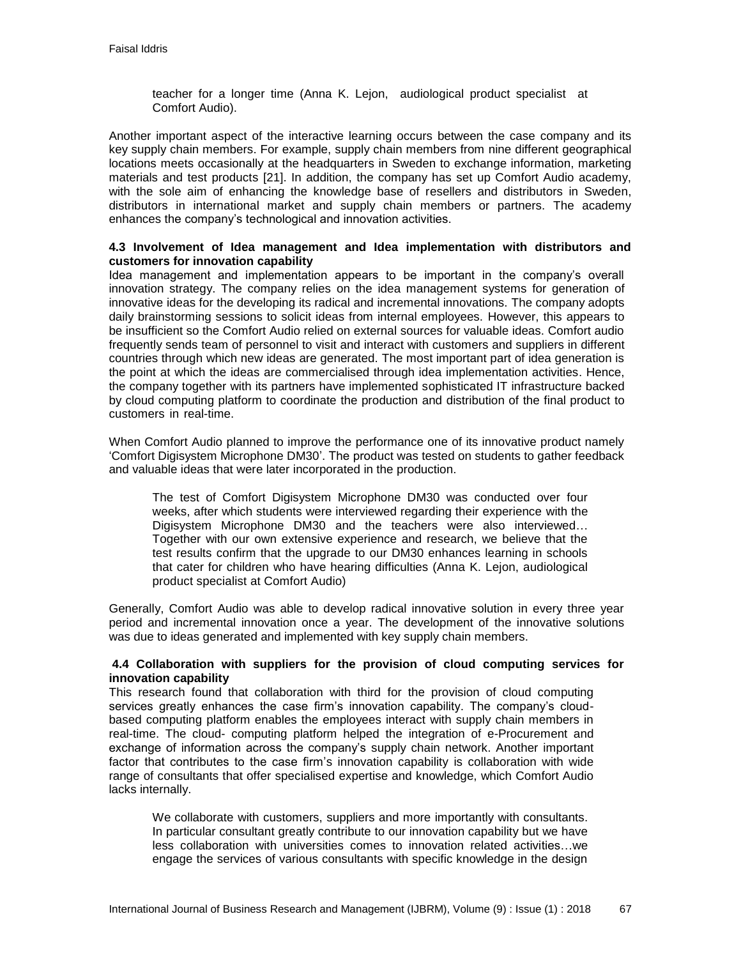teacher for a longer time (Anna K. Lejon, audiological product specialist at Comfort Audio).

Another important aspect of the interactive learning occurs between the case company and its key supply chain members. For example, supply chain members from nine different geographical locations meets occasionally at the headquarters in Sweden to exchange information, marketing materials and test products [21]. In addition, the company has set up Comfort Audio academy, with the sole aim of enhancing the knowledge base of resellers and distributors in Sweden, distributors in international market and supply chain members or partners. The academy enhances the company's technological and innovation activities.

### **4.3 Involvement of Idea management and Idea implementation with distributors and customers for innovation capability**

Idea management and implementation appears to be important in the company's overall innovation strategy. The company relies on the idea management systems for generation of innovative ideas for the developing its radical and incremental innovations. The company adopts daily brainstorming sessions to solicit ideas from internal employees. However, this appears to be insufficient so the Comfort Audio relied on external sources for valuable ideas. Comfort audio frequently sends team of personnel to visit and interact with customers and suppliers in different countries through which new ideas are generated. The most important part of idea generation is the point at which the ideas are commercialised through idea implementation activities. Hence, the company together with its partners have implemented sophisticated IT infrastructure backed by cloud computing platform to coordinate the production and distribution of the final product to customers in real-time.

When Comfort Audio planned to improve the performance one of its innovative product namely 'Comfort Digisystem Microphone DM30'. The product was tested on students to gather feedback and valuable ideas that were later incorporated in the production.

The test of Comfort Digisystem Microphone DM30 was conducted over four weeks, after which students were interviewed regarding their experience with the Digisystem Microphone DM30 and the teachers were also interviewed… Together with our own extensive experience and research, we believe that the test results confirm that the upgrade to our DM30 enhances learning in schools that cater for children who have hearing difficulties (Anna K. Lejon, audiological product specialist at Comfort Audio)

Generally, Comfort Audio was able to develop radical innovative solution in every three year period and incremental innovation once a year. The development of the innovative solutions was due to ideas generated and implemented with key supply chain members.

### **4.4 Collaboration with suppliers for the provision of cloud computing services for innovation capability**

This research found that collaboration with third for the provision of cloud computing services greatly enhances the case firm's innovation capability. The company's cloudbased computing platform enables the employees interact with supply chain members in real-time. The cloud- computing platform helped the integration of e-Procurement and exchange of information across the company's supply chain network. Another important factor that contributes to the case firm's innovation capability is collaboration with wide range of consultants that offer specialised expertise and knowledge, which Comfort Audio lacks internally.

We collaborate with customers, suppliers and more importantly with consultants. In particular consultant greatly contribute to our innovation capability but we have less collaboration with universities comes to innovation related activities…we engage the services of various consultants with specific knowledge in the design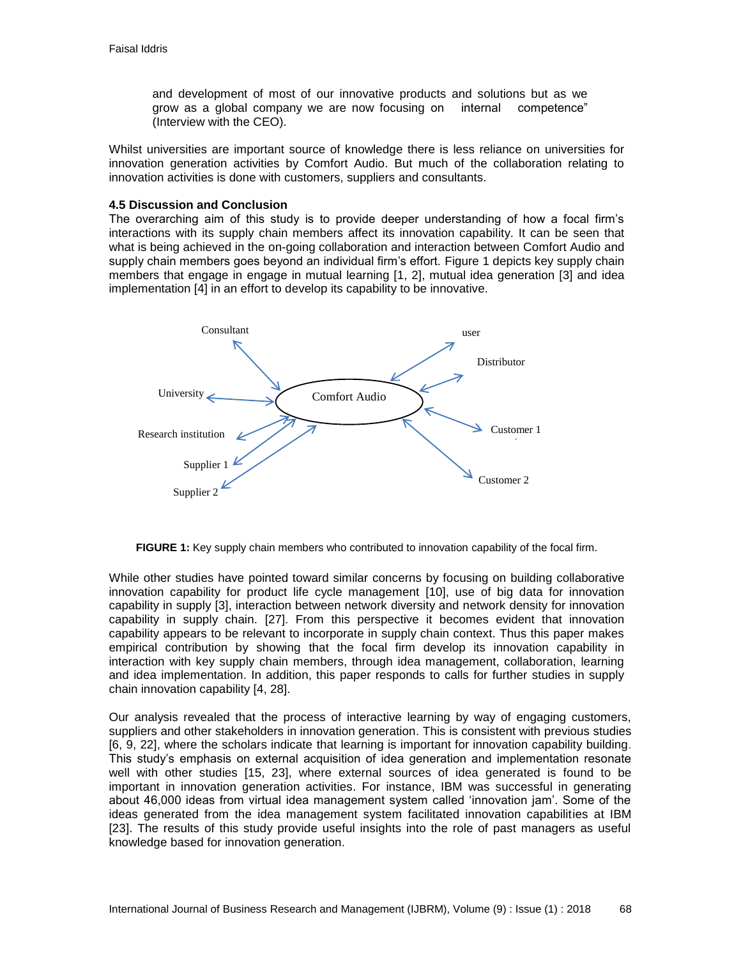and development of most of our innovative products and solutions but as we grow as a global company we are now focusing on internal competence" (Interview with the CEO).

Whilst universities are important source of knowledge there is less reliance on universities for innovation generation activities by Comfort Audio. But much of the collaboration relating to innovation activities is done with customers, suppliers and consultants.

#### **4.5 Discussion and Conclusion**

The overarching aim of this study is to provide deeper understanding of how a focal firm's interactions with its supply chain members affect its innovation capability. It can be seen that what is being achieved in the on-going collaboration and interaction between Comfort Audio and supply chain members goes beyond an individual firm's effort. Figure 1 depicts key supply chain members that engage in engage in mutual learning [1, 2], mutual idea generation [3] and idea implementation [4] in an effort to develop its capability to be innovative.



**FIGURE 1:** Key supply chain members who contributed to innovation capability of the focal firm.

While other studies have pointed toward similar concerns by focusing on building collaborative innovation capability for product life cycle management [10], use of big data for innovation capability in supply [3], interaction between network diversity and network density for innovation capability in supply chain. [27]. From this perspective it becomes evident that innovation capability appears to be relevant to incorporate in supply chain context. Thus this paper makes empirical contribution by showing that the focal firm develop its innovation capability in interaction with key supply chain members, through idea management, collaboration, learning and idea implementation. In addition, this paper responds to calls for further studies in supply chain innovation capability [4, 28].

Our analysis revealed that the process of interactive learning by way of engaging customers, suppliers and other stakeholders in innovation generation. This is consistent with previous studies [6, 9, 22], where the scholars indicate that learning is important for innovation capability building. This study's emphasis on external acquisition of idea generation and implementation resonate well with other studies [15, 23], where external sources of idea generated is found to be important in innovation generation activities. For instance, IBM was successful in generating about 46,000 ideas from virtual idea management system called 'innovation jam'. Some of the ideas generated from the idea management system facilitated innovation capabilities at IBM [23]. The results of this study provide useful insights into the role of past managers as useful knowledge based for innovation generation.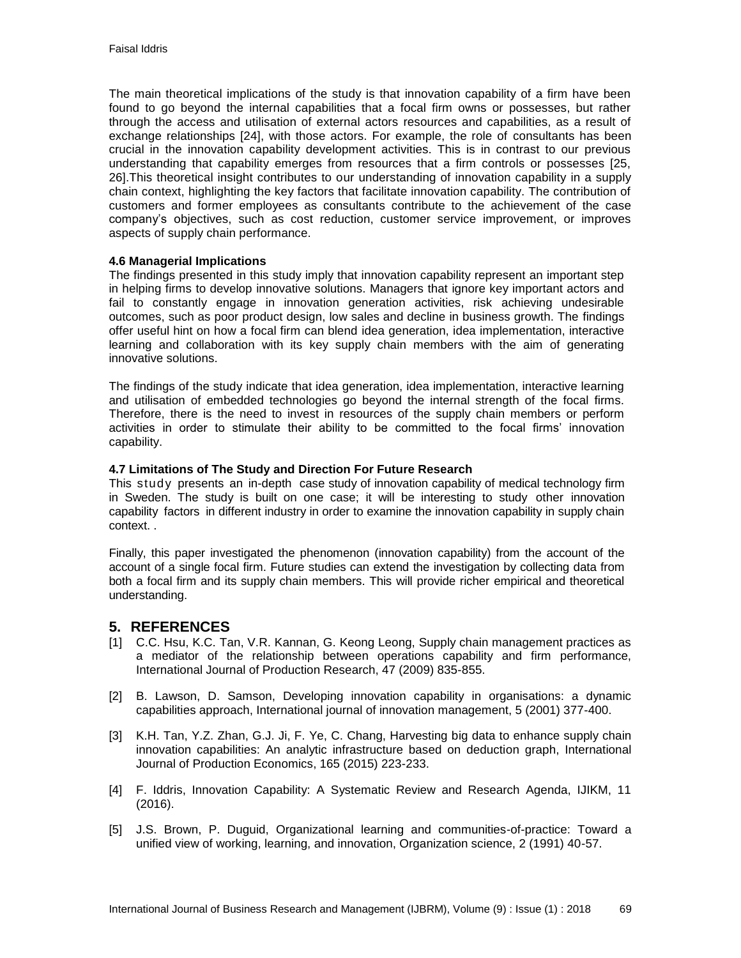The main theoretical implications of the study is that innovation capability of a firm have been found to go beyond the internal capabilities that a focal firm owns or possesses, but rather through the access and utilisation of external actors resources and capabilities, as a result of exchange relationships [24], with those actors. For example, the role of consultants has been crucial in the innovation capability development activities. This is in contrast to our previous understanding that capability emerges from resources that a firm controls or possesses [25, 26].This theoretical insight contributes to our understanding of innovation capability in a supply chain context, highlighting the key factors that facilitate innovation capability. The contribution of customers and former employees as consultants contribute to the achievement of the case company's objectives, such as cost reduction, customer service improvement, or improves aspects of supply chain performance.

### **4.6 Managerial Implications**

The findings presented in this study imply that innovation capability represent an important step in helping firms to develop innovative solutions. Managers that ignore key important actors and fail to constantly engage in innovation generation activities, risk achieving undesirable outcomes, such as poor product design, low sales and decline in business growth. The findings offer useful hint on how a focal firm can blend idea generation, idea implementation, interactive learning and collaboration with its key supply chain members with the aim of generating innovative solutions.

The findings of the study indicate that idea generation, idea implementation, interactive learning and utilisation of embedded technologies go beyond the internal strength of the focal firms. Therefore, there is the need to invest in resources of the supply chain members or perform activities in order to stimulate their ability to be committed to the focal firms' innovation capability.

### **4.7 Limitations of The Study and Direction For Future Research**

This study presents an in-depth case study of innovation capability of medical technology firm in Sweden. The study is built on one case; it will be interesting to study other innovation capability factors in different industry in order to examine the innovation capability in supply chain context. .

Finally, this paper investigated the phenomenon (innovation capability) from the account of the account of a single focal firm. Future studies can extend the investigation by collecting data from both a focal firm and its supply chain members. This will provide richer empirical and theoretical understanding.

## **5. REFERENCES**

- [1] C.C. Hsu, K.C. Tan, V.R. Kannan, G. Keong Leong, Supply chain management practices as a mediator of the relationship between operations capability and firm performance, International Journal of Production Research, 47 (2009) 835-855.
- [2] B. Lawson, D. Samson, Developing innovation capability in organisations: a dynamic capabilities approach, International journal of innovation management, 5 (2001) 377-400.
- [3] K.H. Tan, Y.Z. Zhan, G.J. Ji, F. Ye, C. Chang, Harvesting big data to enhance supply chain innovation capabilities: An analytic infrastructure based on deduction graph, International Journal of Production Economics, 165 (2015) 223-233.
- [4] F. Iddris, Innovation Capability: A Systematic Review and Research Agenda, IJIKM, 11 (2016).
- [5] J.S. Brown, P. Duguid, Organizational learning and communities-of-practice: Toward a unified view of working, learning, and innovation, Organization science, 2 (1991) 40-57.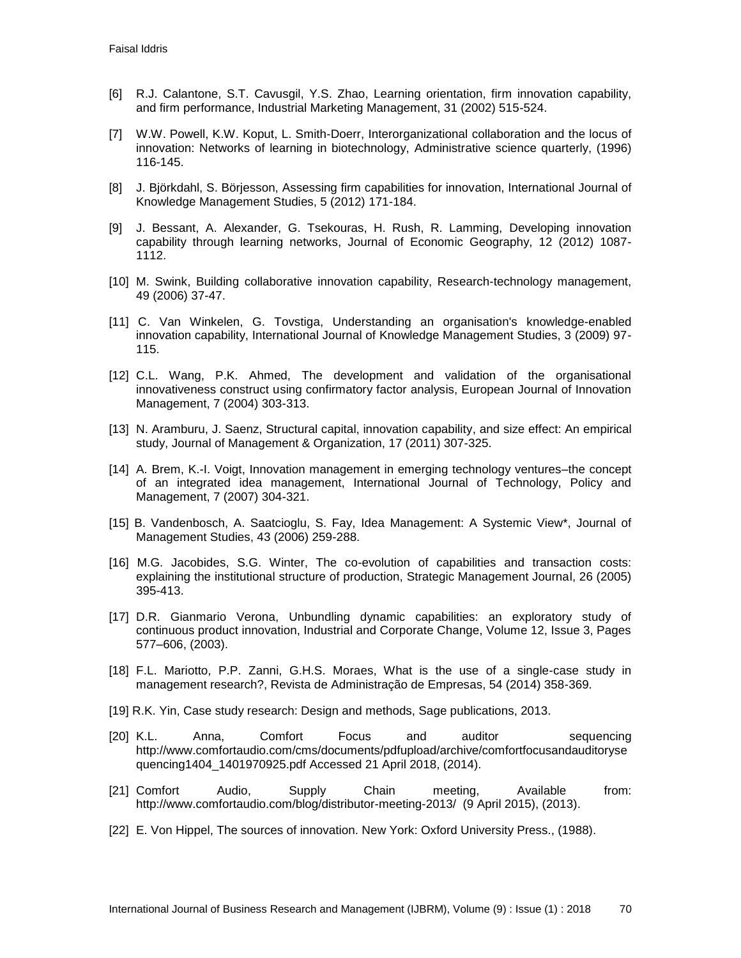- [6] R.J. Calantone, S.T. Cavusgil, Y.S. Zhao, Learning orientation, firm innovation capability, and firm performance, Industrial Marketing Management, 31 (2002) 515-524.
- [7] W.W. Powell, K.W. Koput, L. Smith-Doerr, Interorganizational collaboration and the locus of innovation: Networks of learning in biotechnology, Administrative science quarterly, (1996) 116-145.
- [8] J. Björkdahl, S. Börjesson, Assessing firm capabilities for innovation, International Journal of Knowledge Management Studies, 5 (2012) 171-184.
- [9] J. Bessant, A. Alexander, G. Tsekouras, H. Rush, R. Lamming, Developing innovation capability through learning networks, Journal of Economic Geography, 12 (2012) 1087- 1112.
- [10] M. Swink, Building collaborative innovation capability, Research-technology management, 49 (2006) 37-47.
- [11] C. Van Winkelen, G. Tovstiga, Understanding an organisation's knowledge-enabled innovation capability, International Journal of Knowledge Management Studies, 3 (2009) 97- 115.
- [12] C.L. Wang, P.K. Ahmed, The development and validation of the organisational innovativeness construct using confirmatory factor analysis, European Journal of Innovation Management, 7 (2004) 303-313.
- [13] N. Aramburu, J. Saenz, Structural capital, innovation capability, and size effect: An empirical study, Journal of Management & Organization, 17 (2011) 307-325.
- [14] A. Brem, K.-I. Voigt, Innovation management in emerging technology ventures–the concept of an integrated idea management, International Journal of Technology, Policy and Management, 7 (2007) 304-321.
- [15] B. Vandenbosch, A. Saatcioglu, S. Fay, Idea Management: A Systemic View\*, Journal of Management Studies, 43 (2006) 259-288.
- [16] M.G. Jacobides, S.G. Winter, The co-evolution of capabilities and transaction costs: explaining the institutional structure of production, Strategic Management Journal, 26 (2005) 395-413.
- [17] D.R. Gianmario Verona, Unbundling dynamic capabilities: an exploratory study of continuous product innovation, Industrial and Corporate Change, Volume 12, Issue 3, Pages 577–606, (2003).
- [18] F.L. Mariotto, P.P. Zanni, G.H.S. Moraes, What is the use of a single-case study in management research?, Revista de Administração de Empresas, 54 (2014) 358-369.
- [19] R.K. Yin, Case study research: Design and methods, Sage publications, 2013.
- [20] K.L. Anna, Comfort Focus and auditor sequencing http://www.comfortaudio.com/cms/documents/pdfupload/archive/comfortfocusandauditoryse quencing1404\_1401970925.pdf Accessed 21 April 2018, (2014).
- [21] Comfort Audio, Supply Chain meeting, Available from: http://www.comfortaudio.com/blog/distributor-meeting-2013/ (9 April 2015), (2013).
- [22] E. Von Hippel, The sources of innovation. New York: Oxford University Press., (1988).